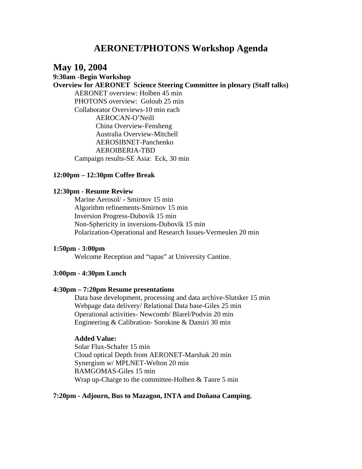# **AERONET/PHOTONS Workshop Agenda**

# **May 10, 2004**

### **9:30am -Begin Workshop**

**Overview for AERONET Science Steering Committee in plenary (Staff talks)** 

AERONET overview: Holben 45 min PHOTONS overview: Goloub 25 min Collaborator Overviews-10 min each AEROCAN-O'Neill China Overview-Fensheng Australia Overview-Mitchell AEROSIBNET-Panchenko AEROIBERIA-TBD Campaign results-SE Asia: Eck, 30 min

#### **12:00pm – 12:30pm Coffee Break**

#### **12:30pm - Resume Review**

Marine Aerosol/ - Smirnov 15 min Algorithm refinements-Smirnov 15 min Inversion Progress-Dubovik 15 min Non-Sphericity in inversions-Dubovik 15 min Polarization-Operational and Research Issues-Vermeulen 20 min

#### **1:50pm - 3:00pm**

Welcome Reception and "tapas" at University Cantine.

#### **3:00pm - 4:30pm Lunch**

#### **4:30pm – 7:20pm Resume presentations**

Data base development, processing and data archive-Slutsker 15 min Webpage data delivery/ Relational Data base-Giles 25 min Operational activities- Newcomb/ Blarel/Podvin 20 min Engineering & Calibration- Sorokine & Damiri 30 min

### **Added Value:**

Solar Flux-Schafer 15 min Cloud optical Depth from AERONET-Marshak 20 min Synergism w/ MPLNET-Welton 20 min BAMGOMAS-Giles 15 min Wrap up-Charge to the committee-Holben & Tanre 5 min

#### **7:20pm - Adjourn, Bus to Mazagon, INTA and Doñana Camping.**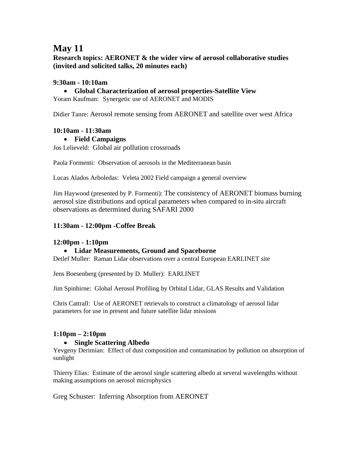# **May 11**

**Research topics: AERONET & the wider view of aerosol collaborative studies (invited and solicited talks, 20 minutes each)** 

## **9:30am - 10:10am**

• **Global Characterization of aerosol properties-Satellite View** 

Yoram Kaufman: Synergetic use of AERONET and MODIS

Didier Tanre: Aerosol remote sensing from AERONET and satellite over west Africa

## **10:10am - 11:30am**

• **Field Campaigns** 

Jos Lelieveld: Global air pollution crossroads

Paola Formenti: Observation of aerosols in the Mediterranean basin

Lucas Alados Arboledas: Veleta 2002 Field campaign a general overview

Jim Haywood (presented by P. Formenti): The consistency of AERONET biomass burning aerosol size distributions and optical parameters when compared to in-situ aircraft observations as determined during SAFARI 2000

## **11:30am - 12:00pm -Coffee Break**

## **12:00pm - 1:10pm**

## • **Lidar Measurements, Ground and Spaceborne**

Detlef Muller: Raman Lidar observations over a central European EARLINET site

Jens Boesenberg (presented by D. Muller): EARLINET

Jim Spinhirne: Global Aerosol Profiling by Orbital Lidar, GLAS Results and Validation

Chris Cattrall: Use of AERONET retrievals to construct a climatology of aerosol lidar parameters for use in present and future satellite lidar missions

# **1:10pm – 2:10pm**

## • **Single Scattering Albedo**

Yevgeny Derimian: Effect of dust composition and contamination by pollution on absorption of sunlight

Thierry Elias: Estimate of the aerosol single scattering albedo at several wavelengths without making assumptions on aerosol microphysics

Greg Schuster: Inferring Absorption from AERONET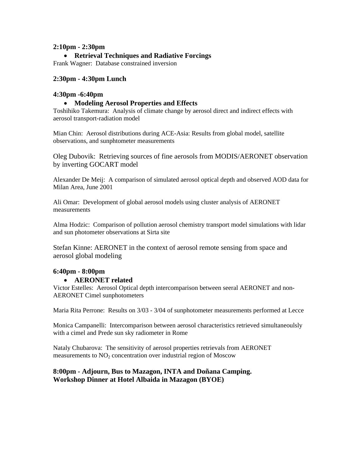### **2:10pm - 2:30pm**

### • **Retrieval Techniques and Radiative Forcings**

Frank Wagner: Database constrained inversion

#### **2:30pm - 4:30pm Lunch**

#### **4:30pm -6:40pm**

#### • **Modeling Aerosol Properties and Effects**

Toshihiko Takemura: Analysis of climate change by aerosol direct and indirect effects with aerosol transport-radiation model

Mian Chin: Aerosol distributions during ACE-Asia: Results from global model, satellite observations, and sunphtometer measurements

Oleg Dubovik: Retrieving sources of fine aerosols from MODIS/AERONET observation by inverting GOCART model

Alexander De Meij: A comparison of simulated aerosol optical depth and observed AOD data for Milan Area, June 2001

Ali Omar: Development of global aerosol models using cluster analysis of AERONET measurements

Alma Hodzic: Comparison of pollution aerosol chemistry transport model simulations with lidar and sun photometer observations at Sirta site

Stefan Kinne: AERONET in the context of aerosol remote sensing from space and aerosol global modeling

#### **6:40pm - 8:00pm**

#### • **AERONET related**

Victor Estelles: Aerosol Optical depth intercomparison between seeral AERONET and non-AERONET Cimel sunphotometers

Maria Rita Perrone: Results on 3/03 - 3/04 of sunphotometer measurements performed at Lecce

Monica Campanelli: Intercomparison between aerosol characteristics retrieved simultaneoulsly with a cimel and Prede sun sky radiometer in Rome

Nataly Chubarova: The sensitivity of aerosol properties retrievals from AERONET measurements to  $NO<sub>2</sub>$  concentration over industrial region of Moscow

### **8:00pm - Adjourn, Bus to Mazagon, INTA and Doñana Camping. Workshop Dinner at Hotel Albaida in Mazagon (BYOE)**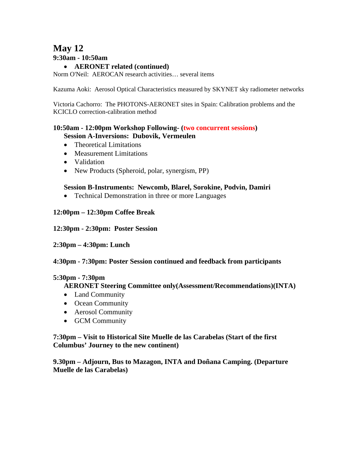# **May 12 9:30am - 10:50am**

### • **AERONET related (continued)**

Norm O'Neil: AEROCAN research activities… several items

Kazuma Aoki: Aerosol Optical Characteristics measured by SKYNET sky radiometer networks

Victoria Cachorro: The PHOTONS-AERONET sites in Spain: Calibration problems and the KCICLO correction-calibration method

### **10:50am - 12:00pm Workshop Following- (two concurrent sessions) Session A-Inversions: Dubovik, Vermeulen**

- Theoretical Limitations
- Measurement Limitations
- Validation
- New Products (Spheroid, polar, synergism, PP)

### **Session B-Instruments: Newcomb, Blarel, Sorokine, Podvin, Damiri**

• Technical Demonstration in three or more Languages

### **12:00pm – 12:30pm Coffee Break**

### **12:30pm - 2:30pm: Poster Session**

### **2:30pm – 4:30pm: Lunch**

### **4:30pm - 7:30pm: Poster Session continued and feedback from participants**

### **5:30pm - 7:30pm**

### **AERONET Steering Committee only(Assessment/Recommendations)(INTA)**

- Land Community
- Ocean Community
- Aerosol Community
- GCM Community

### **7:30pm – Visit to Historical Site Muelle de las Carabelas (Start of the first Columbus' Journey to the new continent)**

**9.30pm – Adjourn, Bus to Mazagon, INTA and Doñana Camping. (Departure Muelle de las Carabelas)**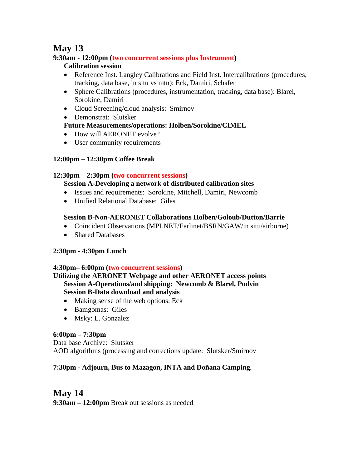# **May 13**

# **9:30am - 12:00pm (two concurrent sessions plus Instrument)**

# **Calibration session**

- Reference Inst. Langley Calibrations and Field Inst. Intercalibrations (procedures, tracking, data base, in situ vs mtn): Eck, Damiri, Schafer
- Sphere Calibrations (procedures, instrumentation, tracking, data base): Blarel, Sorokine, Damiri
- Cloud Screening/cloud analysis: Smirnov
- Demonstrat: Slutsker

# **Future Measurements/operations: Holben/Sorokine/CIMEL**

- How will AERONET evolve?
- User community requirements

# **12:00pm – 12:30pm Coffee Break**

# **12:30pm – 2:30pm (two concurrent sessions)**

- **Session A-Developing a network of distributed calibration sites**
- Issues and requirements: Sorokine, Mitchell, Damiri, Newcomb
- Unified Relational Database: Giles

# **Session B-Non-AERONET Collaborations Holben/Goloub/Dutton/Barrie**

- Coincident Observations (MPLNET/Earlinet/BSRN/GAW/in situ/airborne)
- Shared Databases

# **2:30pm - 4:30pm Lunch**

# **4:30pm– 6:00pm (two concurrent sessions)**

### **Utilizing the AERONET Webpage and other AERONET access points Session A-Operations/and shipping: Newcomb & Blarel, Podvin Session B-Data download and analysis**

- Making sense of the web options: Eck
- Bamgomas: Giles
- Msky: L. Gonzalez

# **6:00pm – 7:30pm**

Data base Archive: Slutsker AOD algorithms (processing and corrections update: Slutsker/Smirnov

# **7:30pm - Adjourn, Bus to Mazagon, INTA and Doñana Camping.**

# **May 14 9:30am – 12:00pm** Break out sessions as needed